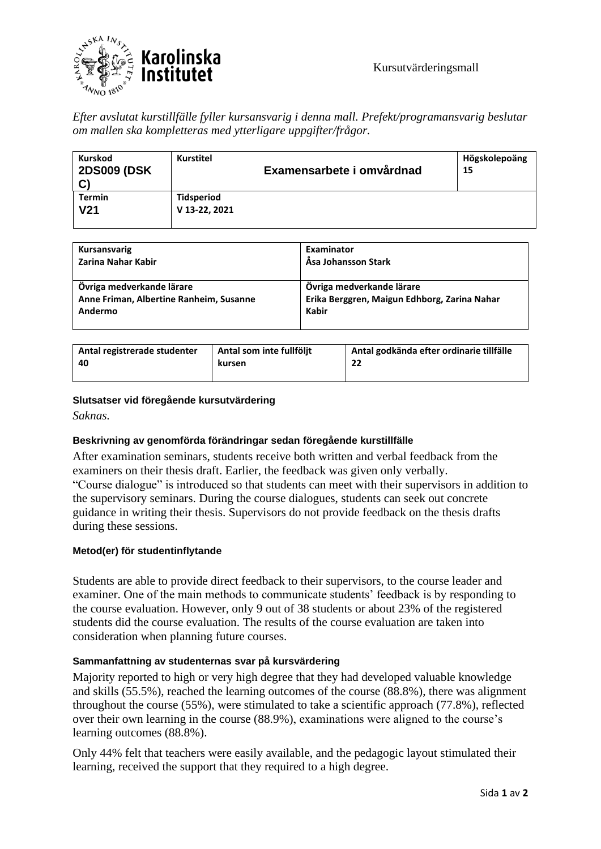

*Efter avslutat kurstillfälle fyller kursansvarig i denna mall. Prefekt/programansvarig beslutar om mallen ska kompletteras med ytterligare uppgifter/frågor.* 

| <b>Kurskod</b><br><b>2DS009 (DSK</b><br>$\mathbf{C}$ | <b>Kurstitel</b>  | Examensarbete i omvårdnad | Högskolepoäng<br>15 |
|------------------------------------------------------|-------------------|---------------------------|---------------------|
| <b>Termin</b>                                        | <b>Tidsperiod</b> |                           |                     |
| V <sub>21</sub>                                      | V 13-22, 2021     |                           |                     |
|                                                      |                   |                           |                     |

| Kursansvarig                            | Examinator                                   |
|-----------------------------------------|----------------------------------------------|
| Zarina Nahar Kabir                      | Åsa Johansson Stark                          |
| Övriga medverkande lärare               | Övriga medverkande lärare                    |
| Anne Friman, Albertine Ranheim, Susanne | Erika Berggren, Maigun Edhborg, Zarina Nahar |
| Andermo                                 | <b>Kabir</b>                                 |

| Antal registrerade studenter | Antal som inte fullföljt | Antal godkända efter ordinarie tillfälle |
|------------------------------|--------------------------|------------------------------------------|
| 40                           | kursen                   | 22                                       |
|                              |                          |                                          |

### **Slutsatser vid föregående kursutvärdering**

*Saknas.*

## **Beskrivning av genomförda förändringar sedan föregående kurstillfälle**

After examination seminars, students receive both written and verbal feedback from the examiners on their thesis draft. Earlier, the feedback was given only verbally. "Course dialogue" is introduced so that students can meet with their supervisors in addition to the supervisory seminars. During the course dialogues, students can seek out concrete guidance in writing their thesis. Supervisors do not provide feedback on the thesis drafts during these sessions.

#### **Metod(er) för studentinflytande**

Students are able to provide direct feedback to their supervisors, to the course leader and examiner. One of the main methods to communicate students' feedback is by responding to the course evaluation. However, only 9 out of 38 students or about 23% of the registered students did the course evaluation. The results of the course evaluation are taken into consideration when planning future courses.

## **Sammanfattning av studenternas svar på kursvärdering**

Majority reported to high or very high degree that they had developed valuable knowledge and skills (55.5%), reached the learning outcomes of the course (88.8%), there was alignment throughout the course (55%), were stimulated to take a scientific approach (77.8%), reflected over their own learning in the course (88.9%), examinations were aligned to the course's learning outcomes (88.8%).

Only 44% felt that teachers were easily available, and the pedagogic layout stimulated their learning, received the support that they required to a high degree.